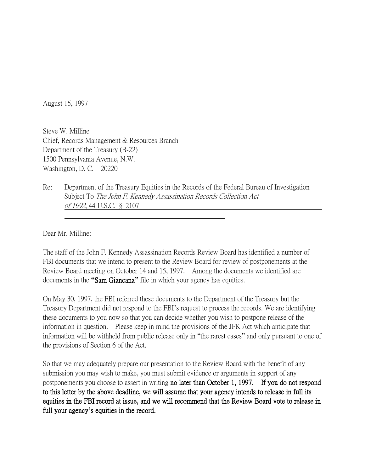August 15, 1997

Steve W. Milline Chief, Records Management & Resources Branch Department of the Treasury (B-22) 1500 Pennsylvania Avenue, N.W. Washington, D. C. 20220

Re: Department of the Treasury Equities in the Records of the Federal Bureau of Investigation Subject To The John F. Kennedy Assassination Records Collection Act of 1992, 44 U.S.C. § 2107

Dear Mr. Milline:

The staff of the John F. Kennedy Assassination Records Review Board has identified a number of FBI documents that we intend to present to the Review Board for review of postponements at the Review Board meeting on October 14 and 15, 1997. Among the documents we identified are documents in the **"**Sam Giancana**"** file in which your agency has equities.

On May 30, 1997, the FBI referred these documents to the Department of the Treasury but the Treasury Department did not respond to the FBI's request to process the records. We are identifying these documents to you now so that you can decide whether you wish to postpone release of the information in question. Please keep in mind the provisions of the JFK Act which anticipate that information will be withheld from public release only in "the rarest cases" and only pursuant to one of the provisions of Section 6 of the Act.

So that we may adequately prepare our presentation to the Review Board with the benefit of any submission you may wish to make, you must submit evidence or arguments in support of any postponements you choose to assert in writing no later than October 1, 1997. If you do not respond to this letter by the above deadline, we will assume that your agency intends to release in full its equities in the FBI record at issue, and we will recommend that the Review Board vote to release in full your agency**'**s equities in the record.